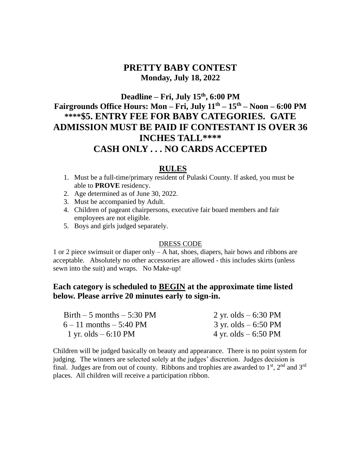## **PRETTY BABY CONTEST Monday, July 18, 2022**

# **Deadline – Fri, July 15 th , 6:00 PM Fairgrounds Office Hours: Mon – Fri, July 11 th – 15 th – Noon – 6:00 PM \*\*\*\*\$5. ENTRY FEE FOR BABY CATEGORIES. GATE ADMISSION MUST BE PAID IF CONTESTANT IS OVER 36 INCHES TALL\*\*\*\* CASH ONLY . . . NO CARDS ACCEPTED**

#### **RULES**

- 1. Must be a full-time/primary resident of Pulaski County. If asked, you must be able to **PROVE** residency.
- 2. Age determined as of June 30, 2022.
- 3. Must be accompanied by Adult.
- 4. Children of pageant chairpersons, executive fair board members and fair employees are not eligible.
- 5. Boys and girls judged separately.

#### DRESS CODE

1 or 2 piece swimsuit or diaper only – A hat, shoes, diapers, hair bows and ribbons are acceptable. Absolutely no other accessories are allowed - this includes skirts (unless sewn into the suit) and wraps. No Make-up!

### **Each category is scheduled to BEGIN at the approximate time listed below. Please arrive 20 minutes early to sign-in.**

| Birth $-5$ months $-5:30$ PM  | 2 yr. olds $-6:30$ PM                   |
|-------------------------------|-----------------------------------------|
| $6 - 11$ months $- 5:40$ PM   | $3 \text{ yr.}$ olds $-6:50 \text{ PM}$ |
| 1 yr. olds $-6:10 \text{ PM}$ | 4 yr. olds $-6:50 \text{ PM}$           |

Children will be judged basically on beauty and appearance. There is no point system for judging. The winners are selected solely at the judges' discretion. Judges decision is final. Judges are from out of county. Ribbons and trophies are awarded to  $1<sup>st</sup>$ ,  $2<sup>nd</sup>$  and  $3<sup>rd</sup>$ places. All children will receive a participation ribbon.